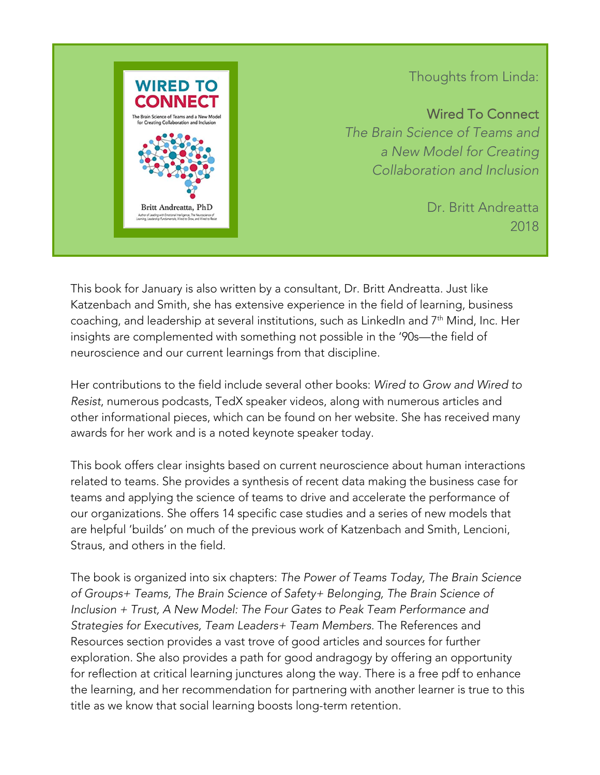

## Thoughts from Linda:

Wired To Connect *The Brain Science of Teams and a New Model for Creating Collaboration and Inclusion*

> Dr. Britt Andreatta 2018

> > Ï

This book for January is also written by a consultant, Dr. Britt Andreatta. Just like Katzenbach and Smith, she has extensive experience in the field of learning, business coaching, and leadership at several institutions, such as LinkedIn and 7<sup>th</sup> Mind, Inc. Her insights are complemented with something not possible in the '90s—the field of neuroscience and our current learnings from that discipline.  $\overline{9}$ 

Her contributions to the field include several other books: *Wired to Grow and Wired to Resist*, numerous podcasts, TedX speaker videos, along with numerous articles and other informational pieces, which can be found on her website. She has received many awards for her work and is a noted keynote speaker today.

This book offers clear insights based on current neuroscience about human interactions related to teams. She provides a synthesis of recent data making the business case for teams and applying the science of teams to drive and accelerate the performance of our organizations. She offers 14 specific case studies and a series of new models that are helpful 'builds' on much of the previous work of Katzenbach and Smith, Lencioni, Straus, and others in the field.

The book is organized into six chapters: *The Power of Teams Today, The Brain Science of Groups+ Teams, The Brain Science of Safety+ Belonging, The Brain Science of Inclusion + Trust, A New Model: The Four Gates to Peak Team Performance and Strategies for Executives, Team Leaders+ Team Members*. The References and Resources section provides a vast trove of good articles and sources for further exploration. She also provides a path for good andragogy by offering an opportunity for reflection at critical learning junctures along the way. There is a free pdf to enhance the learning, and her recommendation for partnering with another learner is true to this title as we know that social learning boosts long-term retention.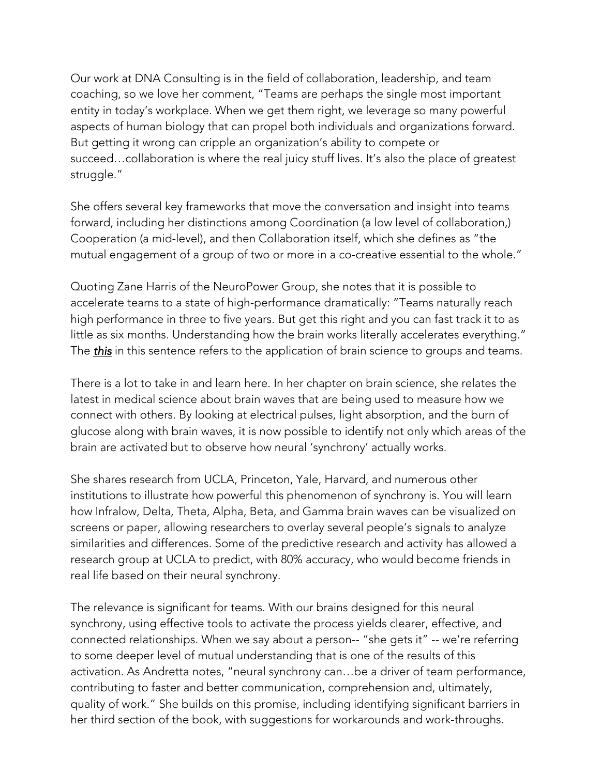Our work at DNA Consulting is in the field of collaboration, leadership, and team coaching, so we love her comment, "Teams are perhaps the single most important entity in today's workplace. When we get them right, we leverage so many powerful aspects of human biology that can propel both individuals and organizations forward. But getting it wrong can cripple an organization's ability to compete or succeed…collaboration is where the real juicy stuff lives. It's also the place of greatest struggle."

She offers several key frameworks that move the conversation and insight into teams forward, including her distinctions among Coordination (a low level of collaboration,) Cooperation (a mid-level), and then Collaboration itself, which she defines as "the mutual engagement of a group of two or more in a co-creative essential to the whole."

Quoting Zane Harris of the NeuroPower Group, she notes that it is possible to accelerate teams to a state of high-performance dramatically: "Teams naturally reach high performance in three to five years. But get this right and you can fast track it to as little as six months. Understanding how the brain works literally accelerates everything." The *this* in this sentence refers to the application of brain science to groups and teams.

There is a lot to take in and learn here. In her chapter on brain science, she relates the latest in medical science about brain waves that are being used to measure how we connect with others. By looking at electrical pulses, light absorption, and the burn of glucose along with brain waves, it is now possible to identify not only which areas of the brain are activated but to observe how neural 'synchrony' actually works.

She shares research from UCLA, Princeton, Yale, Harvard, and numerous other institutions to illustrate how powerful this phenomenon of synchrony is. You will learn how Infralow, Delta, Theta, Alpha, Beta, and Gamma brain waves can be visualized on screens or paper, allowing researchers to overlay several people's signals to analyze similarities and differences. Some of the predictive research and activity has allowed a research group at UCLA to predict, with 80% accuracy, who would become friends in real life based on their neural synchrony.

The relevance is significant for teams. With our brains designed for this neural synchrony, using effective tools to activate the process yields clearer, effective, and connected relationships. When we say about a person-- "she gets it" -- we're referring to some deeper level of mutual understanding that is one of the results of this activation. As Andretta notes, "neural synchrony can…be a driver of team performance, contributing to faster and better communication, comprehension and, ultimately, quality of work." She builds on this promise, including identifying significant barriers in her third section of the book, with suggestions for workarounds and work-throughs.